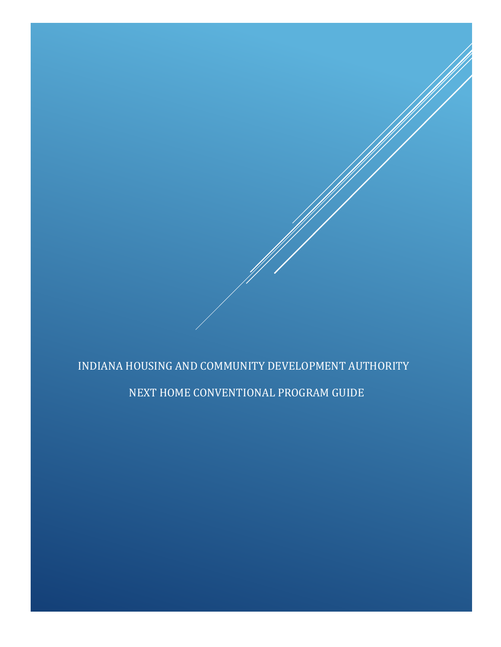# INDIANA HOUSING AND COMMUNITY DEVELOPMENT AUTHORITY

NEXT HOME CONVENTIONAL PROGRAM GUIDE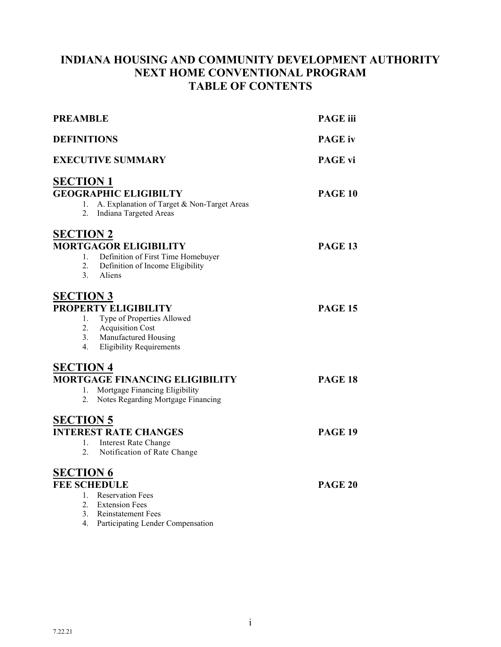## **INDIANA HOUSING AND COMMUNITY DEVELOPMENT AUTHORITY NEXT HOME CONVENTIONAL PROGRAM TABLE OF CONTENTS**

| <b>PREAMBLE</b>                                                                                                                                                                      | <b>PAGE</b> iii |
|--------------------------------------------------------------------------------------------------------------------------------------------------------------------------------------|-----------------|
| <b>DEFINITIONS</b>                                                                                                                                                                   | <b>PAGE</b> iv  |
| <b>EXECUTIVE SUMMARY</b>                                                                                                                                                             | <b>PAGE vi</b>  |
| <b>SECTION 1</b><br><b>GEOGRAPHIC ELIGIBILTY</b><br>A. Explanation of Target & Non-Target Areas<br>1.<br>2.<br>Indiana Targeted Areas                                                | <b>PAGE 10</b>  |
| <b>SECTION 2</b><br><b>MORTGAGOR ELIGIBILITY</b><br>Definition of First Time Homebuyer<br>1.<br>2.<br>Definition of Income Eligibility<br>3.<br>Aliens                               | PAGE 13         |
| <b>SECTION 3</b><br>PROPERTY ELIGIBILITY<br>Type of Properties Allowed<br>1.<br>2.<br><b>Acquisition Cost</b><br>Manufactured Housing<br>3.<br><b>Eligibility Requirements</b><br>4. | <b>PAGE 15</b>  |
| <b>SECTION 4</b><br><b>MORTGAGE FINANCING ELIGIBILITY</b><br>Mortgage Financing Eligibility<br>1.<br>2.<br>Notes Regarding Mortgage Financing                                        | <b>PAGE 18</b>  |
| <b>SECTION 5</b><br><b>INTEREST RATE CHANGES</b><br><b>Interest Rate Change</b><br>1.<br>2.<br>Notification of Rate Change                                                           | <b>PAGE 19</b>  |
| <b>SECTION 6</b><br><b>FEE SCHEDULE</b><br>1. Reservation Fees<br>2. Extension Fees<br>3.<br>Reinstatement Fees<br>4.<br>Participating Lender Compensation                           | <b>PAGE 20</b>  |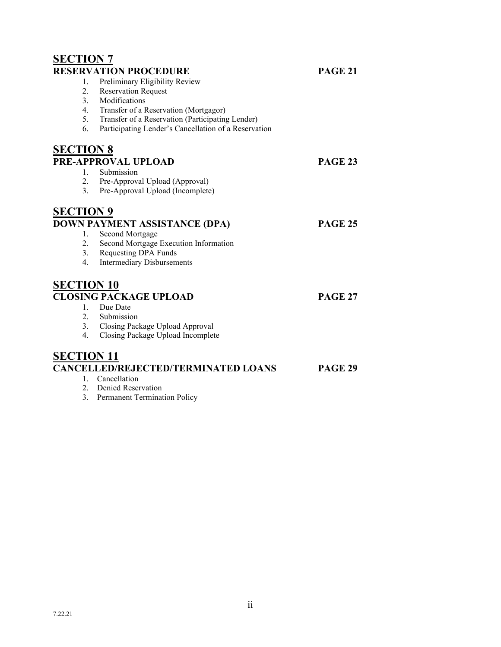|                                                      | <b>PAGE 21</b>                                                                                                                                                                                                                                                                                                                                                                                                                                                                      |
|------------------------------------------------------|-------------------------------------------------------------------------------------------------------------------------------------------------------------------------------------------------------------------------------------------------------------------------------------------------------------------------------------------------------------------------------------------------------------------------------------------------------------------------------------|
|                                                      |                                                                                                                                                                                                                                                                                                                                                                                                                                                                                     |
|                                                      |                                                                                                                                                                                                                                                                                                                                                                                                                                                                                     |
| Modifications                                        |                                                                                                                                                                                                                                                                                                                                                                                                                                                                                     |
| Transfer of a Reservation (Mortgagor)                |                                                                                                                                                                                                                                                                                                                                                                                                                                                                                     |
|                                                      |                                                                                                                                                                                                                                                                                                                                                                                                                                                                                     |
| Participating Lender's Cancellation of a Reservation |                                                                                                                                                                                                                                                                                                                                                                                                                                                                                     |
|                                                      |                                                                                                                                                                                                                                                                                                                                                                                                                                                                                     |
|                                                      | PAGE 23                                                                                                                                                                                                                                                                                                                                                                                                                                                                             |
| Submission                                           |                                                                                                                                                                                                                                                                                                                                                                                                                                                                                     |
|                                                      |                                                                                                                                                                                                                                                                                                                                                                                                                                                                                     |
| Pre-Approval Upload (Incomplete)                     |                                                                                                                                                                                                                                                                                                                                                                                                                                                                                     |
|                                                      |                                                                                                                                                                                                                                                                                                                                                                                                                                                                                     |
|                                                      | <b>PAGE 25</b>                                                                                                                                                                                                                                                                                                                                                                                                                                                                      |
| Second Mortgage                                      |                                                                                                                                                                                                                                                                                                                                                                                                                                                                                     |
| Second Mortgage Execution Information                |                                                                                                                                                                                                                                                                                                                                                                                                                                                                                     |
| Requesting DPA Funds                                 |                                                                                                                                                                                                                                                                                                                                                                                                                                                                                     |
| <b>Intermediary Disbursements</b>                    |                                                                                                                                                                                                                                                                                                                                                                                                                                                                                     |
|                                                      |                                                                                                                                                                                                                                                                                                                                                                                                                                                                                     |
|                                                      | <b>PAGE 27</b>                                                                                                                                                                                                                                                                                                                                                                                                                                                                      |
| Due Date                                             |                                                                                                                                                                                                                                                                                                                                                                                                                                                                                     |
|                                                      |                                                                                                                                                                                                                                                                                                                                                                                                                                                                                     |
|                                                      |                                                                                                                                                                                                                                                                                                                                                                                                                                                                                     |
| Closing Package Upload Incomplete                    |                                                                                                                                                                                                                                                                                                                                                                                                                                                                                     |
|                                                      |                                                                                                                                                                                                                                                                                                                                                                                                                                                                                     |
|                                                      | <b>PAGE 29</b>                                                                                                                                                                                                                                                                                                                                                                                                                                                                      |
| Cancellation                                         |                                                                                                                                                                                                                                                                                                                                                                                                                                                                                     |
| Denied Reservation                                   |                                                                                                                                                                                                                                                                                                                                                                                                                                                                                     |
|                                                      | <b>SECTION 7</b><br><b>RESERVATION PROCEDURE</b><br>Preliminary Eligibility Review<br><b>Reservation Request</b><br>Transfer of a Reservation (Participating Lender)<br><b>SECTION 8</b><br>PRE-APPROVAL UPLOAD<br>Pre-Approval Upload (Approval)<br><b>SECTION 9</b><br>DOWN PAYMENT ASSISTANCE (DPA)<br><b>SECTION 10</b><br><b>CLOSING PACKAGE UPLOAD</b><br>Submission<br>3. Closing Package Upload Approval<br><b>SECTION 11</b><br><b>CANCELLED/REJECTED/TERMINATED LOANS</b> |

3. Permanent Termination Policy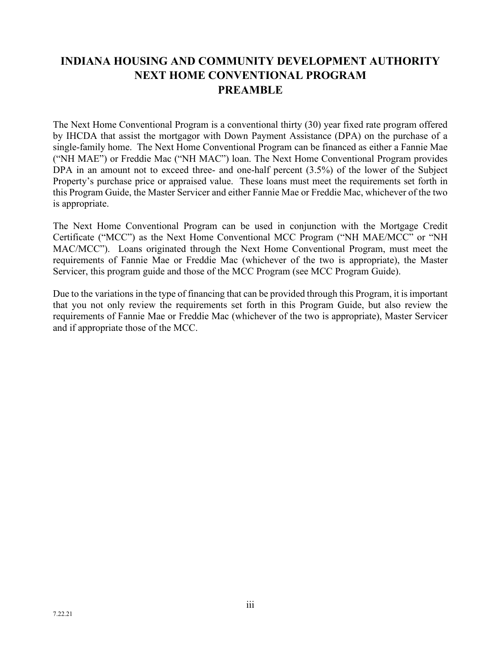# **INDIANA HOUSING AND COMMUNITY DEVELOPMENT AUTHORITY NEXT HOME CONVENTIONAL PROGRAM PREAMBLE**

The Next Home Conventional Program is a conventional thirty (30) year fixed rate program offered by IHCDA that assist the mortgagor with Down Payment Assistance (DPA) on the purchase of a single-family home. The Next Home Conventional Program can be financed as either a Fannie Mae ("NH MAE") or Freddie Mac ("NH MAC") loan. The Next Home Conventional Program provides DPA in an amount not to exceed three- and one-half percent  $(3.5%)$  of the lower of the Subject Property's purchase price or appraised value. These loans must meet the requirements set forth in this Program Guide, the Master Servicer and either Fannie Mae or Freddie Mac, whichever of the two is appropriate.

The Next Home Conventional Program can be used in conjunction with the Mortgage Credit Certificate ("MCC") as the Next Home Conventional MCC Program ("NH MAE/MCC" or "NH MAC/MCC"). Loans originated through the Next Home Conventional Program, must meet the requirements of Fannie Mae or Freddie Mac (whichever of the two is appropriate), the Master Servicer, this program guide and those of the MCC Program (see MCC Program Guide).

Due to the variations in the type of financing that can be provided through this Program, it is important that you not only review the requirements set forth in this Program Guide, but also review the requirements of Fannie Mae or Freddie Mac (whichever of the two is appropriate), Master Servicer and if appropriate those of the MCC.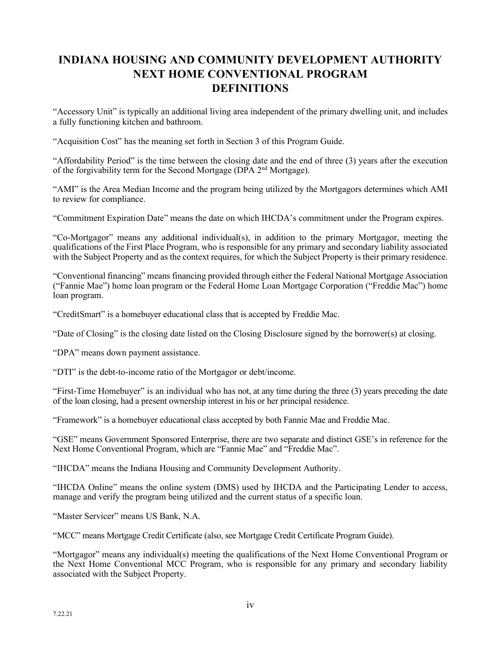# **INDIANA HOUSING AND COMMUNITY DEVELOPMENT AUTHORITY NEXT HOME CONVENTIONAL PROGRAM DEFINITIONS**

"Accessory Unit" is typically an additional living area independent of the primary dwelling unit, and includes a fully functioning kitchen and bathroom.

"Acquisition Cost" has the meaning set forth in Section 3 of this Program Guide.

"Affordability Period" is the time between the closing date and the end of three (3) years after the execution of the forgivability term for the Second Mortgage (DPA 2nd Mortgage).

"AMI" is the Area Median Income and the program being utilized by the Mortgagors determines which AMI to review for compliance.

"Commitment Expiration Date" means the date on which IHCDA's commitment under the Program expires.

"Co-Mortgagor" means any additional individual(s), in addition to the primary Mortgagor, meeting the qualifications of the First Place Program, who is responsible for any primary and secondary liability associated with the Subject Property and as the context requires, for which the Subject Property is their primary residence.

"Conventional financing" means financing provided through either the Federal National Mortgage Association ("Fannie Mae") home loan program or the Federal Home Loan Mortgage Corporation ("Freddie Mac") home loan program.

"CreditSmart" is a homebuyer educational class that is accepted by Freddie Mac.

"Date of Closing" is the closing date listed on the Closing Disclosure signed by the borrower(s) at closing.

"DPA" means down payment assistance.

"DTI" is the debt-to-income ratio of the Mortgagor or debt/income.

"First-Time Homebuyer" is an individual who has not, at any time during the three (3) years preceding the date of the loan closing, had a present ownership interest in his or her principal residence.

"Framework" is a homebuyer educational class accepted by both Fannie Mae and Freddie Mac.

"GSE" means Government Sponsored Enterprise, there are two separate and distinct GSE's in reference for the Next Home Conventional Program, which are "Fannie Mae" and "Freddie Mac".

"IHCDA" means the Indiana Housing and Community Development Authority.

"IHCDA Online" means the online system (DMS) used by IHCDA and the Participating Lender to access, manage and verify the program being utilized and the current status of a specific loan.

"Master Servicer" means US Bank, N.A.

"MCC" means Mortgage Credit Certificate (also, see Mortgage Credit Certificate Program Guide).

"Mortgagor" means any individual(s) meeting the qualifications of the Next Home Conventional Program or the Next Home Conventional MCC Program, who is responsible for any primary and secondary liability associated with the Subject Property.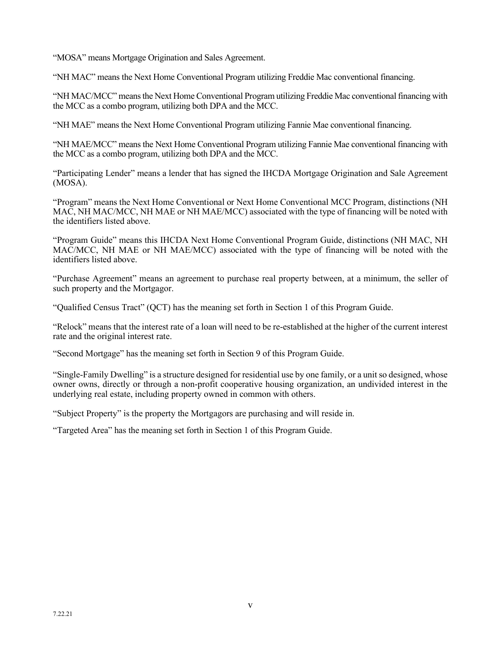"MOSA" means Mortgage Origination and Sales Agreement.

"NH MAC" means the Next Home Conventional Program utilizing Freddie Mac conventional financing.

"NH MAC/MCC" means the Next Home Conventional Program utilizing Freddie Mac conventional financing with the MCC as a combo program, utilizing both DPA and the MCC.

"NH MAE" means the Next Home Conventional Program utilizing Fannie Mae conventional financing.

"NH MAE/MCC" means the Next Home Conventional Program utilizing Fannie Mae conventional financing with the MCC as a combo program, utilizing both DPA and the MCC.

"Participating Lender" means a lender that has signed the IHCDA Mortgage Origination and Sale Agreement (MOSA).

"Program" means the Next Home Conventional or Next Home Conventional MCC Program, distinctions (NH MAC, NH MAC/MCC, NH MAE or NH MAE/MCC) associated with the type of financing will be noted with the identifiers listed above.

"Program Guide" means this IHCDA Next Home Conventional Program Guide, distinctions (NH MAC, NH MAC/MCC, NH MAE or NH MAE/MCC) associated with the type of financing will be noted with the identifiers listed above.

"Purchase Agreement" means an agreement to purchase real property between, at a minimum, the seller of such property and the Mortgagor.

"Qualified Census Tract" (QCT) has the meaning set forth in Section 1 of this Program Guide.

"Relock" means that the interest rate of a loan will need to be re-established at the higher of the current interest rate and the original interest rate.

"Second Mortgage" has the meaning set forth in Section 9 of this Program Guide.

"Single-Family Dwelling" is a structure designed for residential use by one family, or a unit so designed, whose owner owns, directly or through a non-profit cooperative housing organization, an undivided interest in the underlying real estate, including property owned in common with others.

"Subject Property" is the property the Mortgagors are purchasing and will reside in.

"Targeted Area" has the meaning set forth in Section 1 of this Program Guide.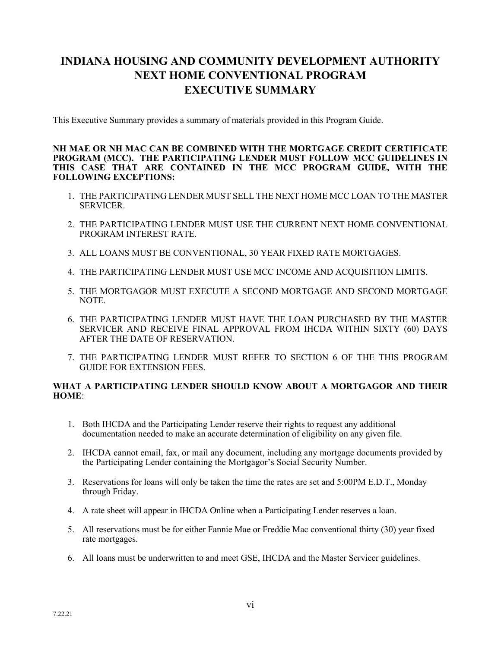# **INDIANA HOUSING AND COMMUNITY DEVELOPMENT AUTHORITY NEXT HOME CONVENTIONAL PROGRAM EXECUTIVE SUMMARY**

This Executive Summary provides a summary of materials provided in this Program Guide.

#### **NH MAE OR NH MAC CAN BE COMBINED WITH THE MORTGAGE CREDIT CERTIFICATE PROGRAM (MCC). THE PARTICIPATING LENDER MUST FOLLOW MCC GUIDELINES IN THIS CASE THAT ARE CONTAINED IN THE MCC PROGRAM GUIDE, WITH THE FOLLOWING EXCEPTIONS:**

- 1. THE PARTICIPATING LENDER MUST SELL THE NEXT HOME MCC LOAN TO THE MASTER SERVICER.
- 2. THE PARTICIPATING LENDER MUST USE THE CURRENT NEXT HOME CONVENTIONAL PROGRAM INTEREST RATE.
- 3. ALL LOANS MUST BE CONVENTIONAL, 30 YEAR FIXED RATE MORTGAGES.
- 4. THE PARTICIPATING LENDER MUST USE MCC INCOME AND ACQUISITION LIMITS.
- 5. THE MORTGAGOR MUST EXECUTE A SECOND MORTGAGE AND SECOND MORTGAGE NOTE.
- 6. THE PARTICIPATING LENDER MUST HAVE THE LOAN PURCHASED BY THE MASTER SERVICER AND RECEIVE FINAL APPROVAL FROM IHCDA WITHIN SIXTY (60) DAYS AFTER THE DATE OF RESERVATION.
- 7. THE PARTICIPATING LENDER MUST REFER TO SECTION 6 OF THE THIS PROGRAM GUIDE FOR EXTENSION FEES.

#### **WHAT A PARTICIPATING LENDER SHOULD KNOW ABOUT A MORTGAGOR AND THEIR HOME**:

- 1. Both IHCDA and the Participating Lender reserve their rights to request any additional documentation needed to make an accurate determination of eligibility on any given file.
- 2. IHCDA cannot email, fax, or mail any document, including any mortgage documents provided by the Participating Lender containing the Mortgagor's Social Security Number.
- 3. Reservations for loans will only be taken the time the rates are set and 5:00PM E.D.T., Monday through Friday.
- 4. A rate sheet will appear in IHCDA Online when a Participating Lender reserves a loan.
- 5. All reservations must be for either Fannie Mae or Freddie Mac conventional thirty (30) year fixed rate mortgages.
- 6. All loans must be underwritten to and meet GSE, IHCDA and the Master Servicer guidelines.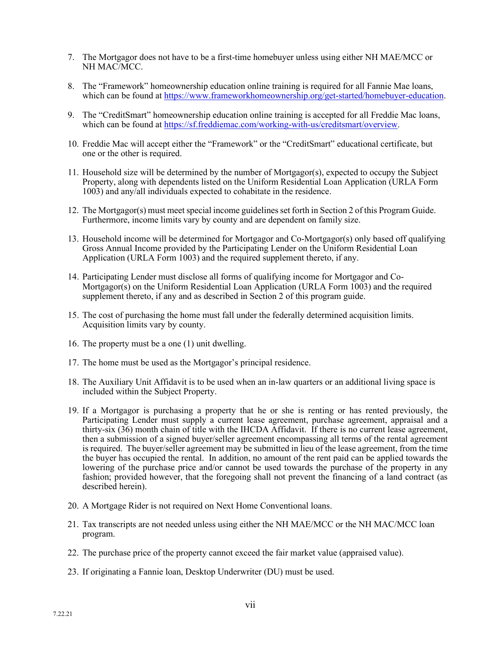- 7. The Mortgagor does not have to be a first-time homebuyer unless using either NH MAE/MCC or NH MAC/MCC.
- 8. The "Framework" homeownership education online training is required for all Fannie Mae loans, which can be found at [https://www.frameworkhomeownership.org/get-started/homebuyer-education.](https://www.frameworkhomeownership.org/get-started/homebuyer-education)
- 9. The "CreditSmart" homeownership education online training is accepted for all Freddie Mac loans, which can be found at [https://sf.freddiemac.com/working-with-us/creditsmart/overview.](https://sf.freddiemac.com/working-with-us/creditsmart/overview)
- 10. Freddie Mac will accept either the "Framework" or the "CreditSmart" educational certificate, but one or the other is required.
- 11. Household size will be determined by the number of Mortgagor(s), expected to occupy the Subject Property, along with dependents listed on the Uniform Residential Loan Application (URLA Form 1003) and any/all individuals expected to cohabitate in the residence.
- 12. The Mortgagor(s) must meet special income guidelines set forth in Section 2 of this Program Guide. Furthermore, income limits vary by county and are dependent on family size.
- 13. Household income will be determined for Mortgagor and Co-Mortgagor(s) only based off qualifying Gross Annual Income provided by the Participating Lender on the Uniform Residential Loan Application (URLA Form 1003) and the required supplement thereto, if any.
- 14. Participating Lender must disclose all forms of qualifying income for Mortgagor and Co-Mortgagor(s) on the Uniform Residential Loan Application (URLA Form 1003) and the required supplement thereto, if any and as described in Section 2 of this program guide.
- 15. The cost of purchasing the home must fall under the federally determined acquisition limits. Acquisition limits vary by county.
- 16. The property must be a one (1) unit dwelling.
- 17. The home must be used as the Mortgagor's principal residence.
- 18. The Auxiliary Unit Affidavit is to be used when an in-law quarters or an additional living space is included within the Subject Property.
- 19. If a Mortgagor is purchasing a property that he or she is renting or has rented previously, the Participating Lender must supply a current lease agreement, purchase agreement, appraisal and a thirty-six (36) month chain of title with the IHCDA Affidavit. If there is no current lease agreement, then a submission of a signed buyer/seller agreement encompassing all terms of the rental agreement is required. The buyer/seller agreement may be submitted in lieu of the lease agreement, from the time the buyer has occupied the rental. In addition, no amount of the rent paid can be applied towards the lowering of the purchase price and/or cannot be used towards the purchase of the property in any fashion; provided however, that the foregoing shall not prevent the financing of a land contract (as described herein).
- 20. A Mortgage Rider is not required on Next Home Conventional loans.
- 21. Tax transcripts are not needed unless using either the NH MAE/MCC or the NH MAC/MCC loan program.
- 22. The purchase price of the property cannot exceed the fair market value (appraised value).
- 23. If originating a Fannie loan, Desktop Underwriter (DU) must be used.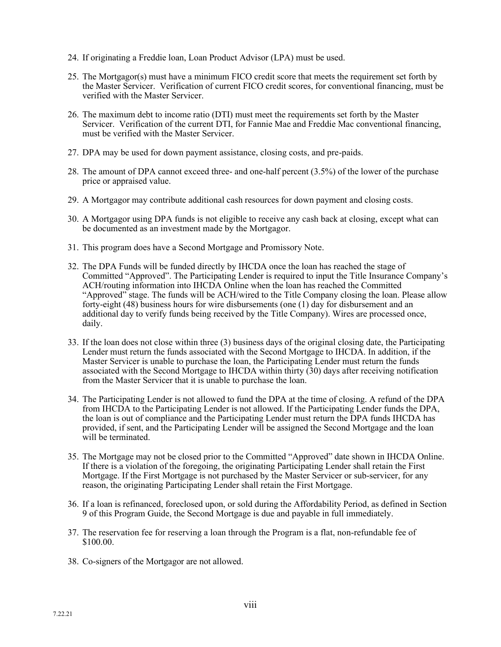- 24. If originating a Freddie loan, Loan Product Advisor (LPA) must be used.
- 25. The Mortgagor(s) must have a minimum FICO credit score that meets the requirement set forth by the Master Servicer. Verification of current FICO credit scores, for conventional financing, must be verified with the Master Servicer.
- 26. The maximum debt to income ratio (DTI) must meet the requirements set forth by the Master Servicer. Verification of the current DTI, for Fannie Mae and Freddie Mac conventional financing, must be verified with the Master Servicer.
- 27. DPA may be used for down payment assistance, closing costs, and pre-paids.
- 28. The amount of DPA cannot exceed three- and one-half percent (3.5%) of the lower of the purchase price or appraised value.
- 29. A Mortgagor may contribute additional cash resources for down payment and closing costs.
- 30. A Mortgagor using DPA funds is not eligible to receive any cash back at closing, except what can be documented as an investment made by the Mortgagor.
- 31. This program does have a Second Mortgage and Promissory Note.
- 32. The DPA Funds will be funded directly by IHCDA once the loan has reached the stage of Committed "Approved". The Participating Lender is required to input the Title Insurance Company's ACH/routing information into IHCDA Online when the loan has reached the Committed "Approved" stage. The funds will be ACH/wired to the Title Company closing the loan. Please allow forty-eight (48) business hours for wire disbursements (one (1) day for disbursement and an additional day to verify funds being received by the Title Company). Wires are processed once, daily.
- 33. If the loan does not close within three (3) business days of the original closing date, the Participating Lender must return the funds associated with the Second Mortgage to IHCDA. In addition, if the Master Servicer is unable to purchase the loan, the Participating Lender must return the funds associated with the Second Mortgage to IHCDA within thirty (30) days after receiving notification from the Master Servicer that it is unable to purchase the loan.
- 34. The Participating Lender is not allowed to fund the DPA at the time of closing. A refund of the DPA from IHCDA to the Participating Lender is not allowed. If the Participating Lender funds the DPA, the loan is out of compliance and the Participating Lender must return the DPA funds IHCDA has provided, if sent, and the Participating Lender will be assigned the Second Mortgage and the loan will be terminated.
- 35. The Mortgage may not be closed prior to the Committed "Approved" date shown in IHCDA Online. If there is a violation of the foregoing, the originating Participating Lender shall retain the First Mortgage. If the First Mortgage is not purchased by the Master Servicer or sub-servicer, for any reason, the originating Participating Lender shall retain the First Mortgage.
- 36. If a loan is refinanced, foreclosed upon, or sold during the Affordability Period, as defined in Section 9 of this Program Guide, the Second Mortgage is due and payable in full immediately.
- 37. The reservation fee for reserving a loan through the Program is a flat, non-refundable fee of \$100.00.
- 38. Co-signers of the Mortgagor are not allowed.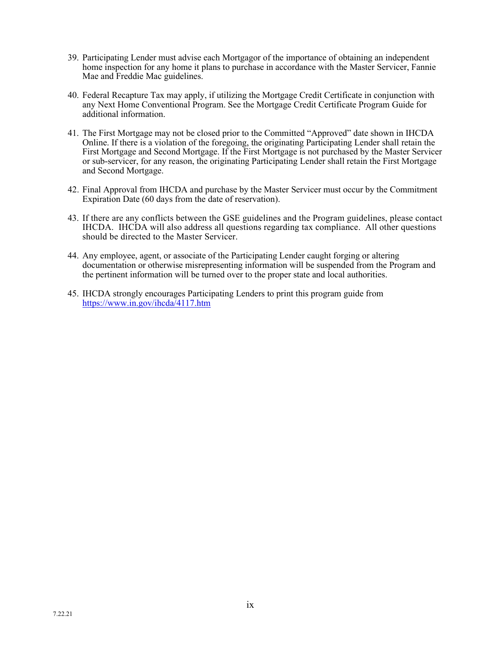- 39. Participating Lender must advise each Mortgagor of the importance of obtaining an independent home inspection for any home it plans to purchase in accordance with the Master Servicer, Fannie Mae and Freddie Mac guidelines.
- 40. Federal Recapture Tax may apply, if utilizing the Mortgage Credit Certificate in conjunction with any Next Home Conventional Program. See the Mortgage Credit Certificate Program Guide for additional information.
- 41. The First Mortgage may not be closed prior to the Committed "Approved" date shown in IHCDA Online. If there is a violation of the foregoing, the originating Participating Lender shall retain the First Mortgage and Second Mortgage. If the First Mortgage is not purchased by the Master Servicer or sub-servicer, for any reason, the originating Participating Lender shall retain the First Mortgage and Second Mortgage.
- 42. Final Approval from IHCDA and purchase by the Master Servicer must occur by the Commitment Expiration Date (60 days from the date of reservation).
- 43. If there are any conflicts between the GSE guidelines and the Program guidelines, please contact IHCDA. IHCDA will also address all questions regarding tax compliance. All other questions should be directed to the Master Servicer.
- 44. Any employee, agent, or associate of the Participating Lender caught forging or altering documentation or otherwise misrepresenting information will be suspended from the Program and the pertinent information will be turned over to the proper state and local authorities.
- 45. IHCDA strongly encourages Participating Lenders to print this program guide from <https://www.in.gov/ihcda/4117.htm>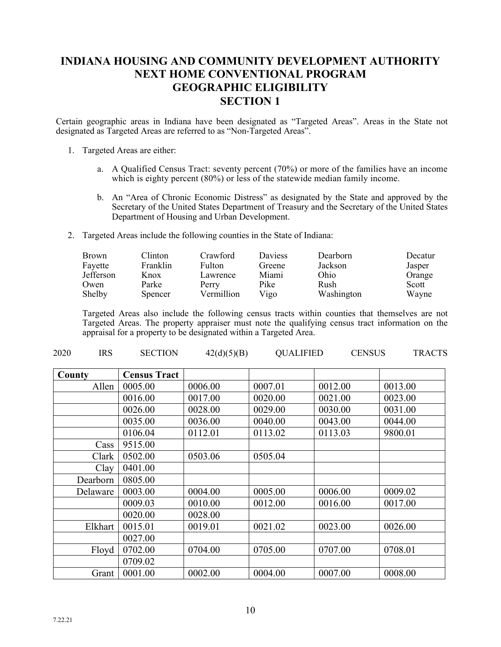## **INDIANA HOUSING AND COMMUNITY DEVELOPMENT AUTHORITY NEXT HOME CONVENTIONAL PROGRAM GEOGRAPHIC ELIGIBILITY SECTION 1**

Certain geographic areas in Indiana have been designated as "Targeted Areas". Areas in the State not designated as Targeted Areas are referred to as "Non-Targeted Areas".

- 1. Targeted Areas are either:
	- a. A Qualified Census Tract: seventy percent (70%) or more of the families have an income which is eighty percent (80%) or less of the statewide median family income.
	- b. An "Area of Chronic Economic Distress" as designated by the State and approved by the Secretary of the United States Department of Treasury and the Secretary of the United States Department of Housing and Urban Development.
- 2. Targeted Areas include the following counties in the State of Indiana:

| <b>Brown</b>     | <b>Clinton</b> | Crawford      | <b>Daviess</b> | Dearborn   | Decatur |
|------------------|----------------|---------------|----------------|------------|---------|
| Fayette          | Franklin       | <b>Fulton</b> | Greene         | Jackson    | Jasper  |
| <b>Jefferson</b> | Knox           | Lawrence      | Miami          | Ohio       | Orange  |
| Owen             | Parke          | Perry         | Pike           | Rush       | Scott   |
| Shelby           | Spencer        | Vermillion    | Vigo           | Washington | Wayne   |

Targeted Areas also include the following census tracts within counties that themselves are not Targeted Areas. The property appraiser must note the qualifying census tract information on the appraisal for a property to be designated within a Targeted Area.

| <b>IRS</b><br>2020 | <b>SECTION</b>      | 42(d)(5)(B) | <b>QUALIFIED</b> | <b>CENSUS</b> | <b>TRACTS</b> |
|--------------------|---------------------|-------------|------------------|---------------|---------------|
| County             | <b>Census Tract</b> |             |                  |               |               |
| Allen              | 0005.00             | 0006.00     | 0007.01          | 0012.00       | 0013.00       |
|                    | 0016.00             | 0017.00     | 0020.00          | 0021.00       | 0023.00       |
|                    | 0026.00             | 0028.00     | 0029.00          | 0030.00       | 0031.00       |
|                    | 0035.00             | 0036.00     | 0040.00          | 0043.00       | 0044.00       |
|                    | 0106.04             | 0112.01     | 0113.02          | 0113.03       | 9800.01       |
| Cass               | 9515.00             |             |                  |               |               |
| Clark              | 0502.00             | 0503.06     | 0505.04          |               |               |
| Clay               | 0401.00             |             |                  |               |               |
| Dearborn           | 0805.00             |             |                  |               |               |
| Delaware           | 0003.00             | 0004.00     | 0005.00          | 0006.00       | 0009.02       |
|                    | 0009.03             | 0010.00     | 0012.00          | 0016.00       | 0017.00       |
|                    | 0020.00             | 0028.00     |                  |               |               |
| Elkhart            | 0015.01             | 0019.01     | 0021.02          | 0023.00       | 0026.00       |
|                    | 0027.00             |             |                  |               |               |
| Floyd              | 0702.00             | 0704.00     | 0705.00          | 0707.00       | 0708.01       |
|                    | 0709.02             |             |                  |               |               |
| Grant              | 0001.00             | 0002.00     | 0004.00          | 0007.00       | 0008.00       |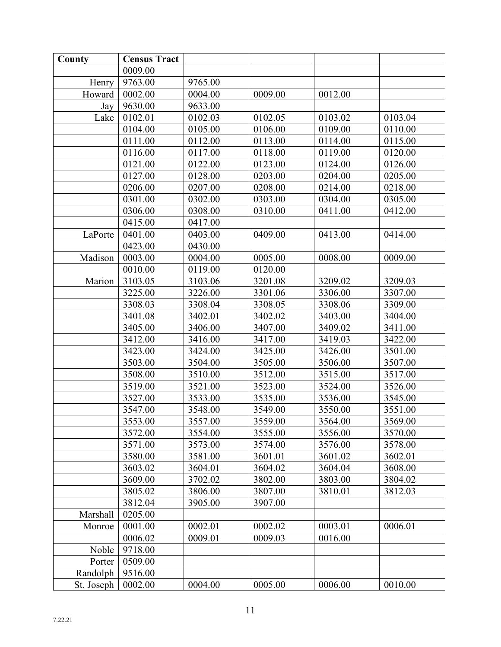| County     | <b>Census Tract</b> |         |         |         |         |
|------------|---------------------|---------|---------|---------|---------|
|            | 0009.00             |         |         |         |         |
| Henry      | 9763.00             | 9765.00 |         |         |         |
| Howard     | 0002.00             | 0004.00 | 0009.00 | 0012.00 |         |
| Jay        | 9630.00             | 9633.00 |         |         |         |
| Lake       | 0102.01             | 0102.03 | 0102.05 | 0103.02 | 0103.04 |
|            | 0104.00             | 0105.00 | 0106.00 | 0109.00 | 0110.00 |
|            | 0111.00             | 0112.00 | 0113.00 | 0114.00 | 0115.00 |
|            | 0116.00             | 0117.00 | 0118.00 | 0119.00 | 0120.00 |
|            | 0121.00             | 0122.00 | 0123.00 | 0124.00 | 0126.00 |
|            | 0127.00             | 0128.00 | 0203.00 | 0204.00 | 0205.00 |
|            | 0206.00             | 0207.00 | 0208.00 | 0214.00 | 0218.00 |
|            | 0301.00             | 0302.00 | 0303.00 | 0304.00 | 0305.00 |
|            | 0306.00             | 0308.00 | 0310.00 | 0411.00 | 0412.00 |
|            | 0415.00             | 0417.00 |         |         |         |
| LaPorte    | 0401.00             | 0403.00 | 0409.00 | 0413.00 | 0414.00 |
|            | 0423.00             | 0430.00 |         |         |         |
| Madison    | 0003.00             | 0004.00 | 0005.00 | 0008.00 | 0009.00 |
|            | 0010.00             | 0119.00 | 0120.00 |         |         |
| Marion     | 3103.05             | 3103.06 | 3201.08 | 3209.02 | 3209.03 |
|            | 3225.00             | 3226.00 | 3301.06 | 3306.00 | 3307.00 |
|            | 3308.03             | 3308.04 | 3308.05 | 3308.06 | 3309.00 |
|            | 3401.08             | 3402.01 | 3402.02 | 3403.00 | 3404.00 |
|            | 3405.00             | 3406.00 | 3407.00 | 3409.02 | 3411.00 |
|            | 3412.00             | 3416.00 | 3417.00 | 3419.03 | 3422.00 |
|            | 3423.00             | 3424.00 | 3425.00 | 3426.00 | 3501.00 |
|            | 3503.00             | 3504.00 | 3505.00 | 3506.00 | 3507.00 |
|            | 3508.00             | 3510.00 | 3512.00 | 3515.00 | 3517.00 |
|            | 3519.00             | 3521.00 | 3523.00 | 3524.00 | 3526.00 |
|            | 3527.00             | 3533.00 | 3535.00 | 3536.00 | 3545.00 |
|            | 3547.00             | 3548.00 | 3549.00 | 3550.00 | 3551.00 |
|            | 3553.00             | 3557.00 | 3559.00 | 3564.00 | 3569.00 |
|            | 3572.00             | 3554.00 | 3555.00 | 3556.00 | 3570.00 |
|            | 3571.00             | 3573.00 | 3574.00 | 3576.00 | 3578.00 |
|            | 3580.00             | 3581.00 | 3601.01 | 3601.02 | 3602.01 |
|            | 3603.02             | 3604.01 | 3604.02 | 3604.04 | 3608.00 |
|            | 3609.00             | 3702.02 | 3802.00 | 3803.00 | 3804.02 |
|            | 3805.02             | 3806.00 | 3807.00 | 3810.01 | 3812.03 |
|            | 3812.04             | 3905.00 | 3907.00 |         |         |
| Marshall   | 0205.00             |         |         |         |         |
| Monroe     | 0001.00             | 0002.01 | 0002.02 | 0003.01 | 0006.01 |
|            | 0006.02             | 0009.01 | 0009.03 | 0016.00 |         |
| Noble      | 9718.00             |         |         |         |         |
| Porter     | 0509.00             |         |         |         |         |
| Randolph   | 9516.00             |         |         |         |         |
| St. Joseph | 0002.00             | 0004.00 | 0005.00 | 0006.00 | 0010.00 |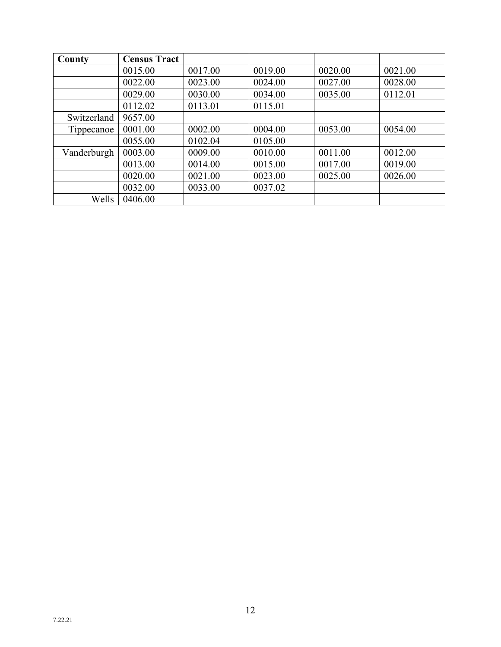| County      | <b>Census Tract</b> |         |         |         |         |
|-------------|---------------------|---------|---------|---------|---------|
|             | 0015.00             | 0017.00 | 0019.00 | 0020.00 | 0021.00 |
|             | 0022.00             | 0023.00 | 0024.00 | 0027.00 | 0028.00 |
|             | 0029.00             | 0030.00 | 0034.00 | 0035.00 | 0112.01 |
|             | 0112.02             | 0113.01 | 0115.01 |         |         |
| Switzerland | 9657.00             |         |         |         |         |
| Tippecanoe  | 0001.00             | 0002.00 | 0004.00 | 0053.00 | 0054.00 |
|             | 0055.00             | 0102.04 | 0105.00 |         |         |
| Vanderburgh | 0003.00             | 0009.00 | 0010.00 | 0011.00 | 0012.00 |
|             | 0013.00             | 0014.00 | 0015.00 | 0017.00 | 0019.00 |
|             | 0020.00             | 0021.00 | 0023.00 | 0025.00 | 0026.00 |
|             | 0032.00             | 0033.00 | 0037.02 |         |         |
| Wells       | 0406.00             |         |         |         |         |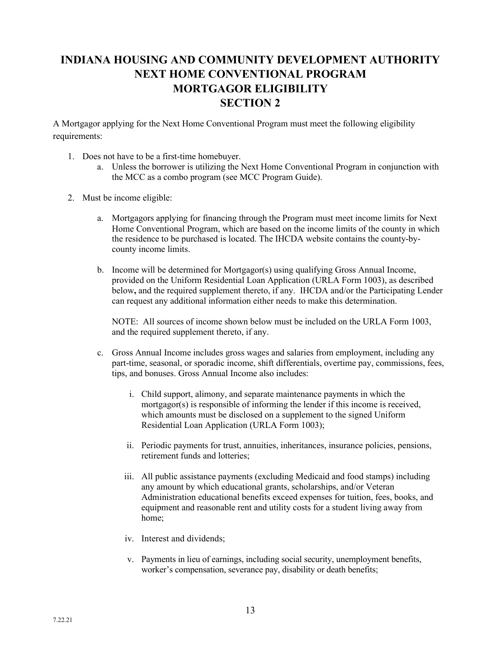# **INDIANA HOUSING AND COMMUNITY DEVELOPMENT AUTHORITY NEXT HOME CONVENTIONAL PROGRAM MORTGAGOR ELIGIBILITY SECTION 2**

A Mortgagor applying for the Next Home Conventional Program must meet the following eligibility requirements:

- 1. Does not have to be a first-time homebuyer.
	- a. Unless the borrower is utilizing the Next Home Conventional Program in conjunction with the MCC as a combo program (see MCC Program Guide).
- 2. Must be income eligible:
	- a. Mortgagors applying for financing through the Program must meet income limits for Next Home Conventional Program, which are based on the income limits of the county in which the residence to be purchased is located. The IHCDA website contains the county-bycounty income limits.
	- b. Income will be determined for Mortgagor(s) using qualifying Gross Annual Income, provided on the Uniform Residential Loan Application (URLA Form 1003), as described below**,** and the required supplement thereto, if any. IHCDA and/or the Participating Lender can request any additional information either needs to make this determination.

NOTE: All sources of income shown below must be included on the URLA Form 1003, and the required supplement thereto, if any.

- c. Gross Annual Income includes gross wages and salaries from employment, including any part-time, seasonal, or sporadic income, shift differentials, overtime pay, commissions, fees, tips, and bonuses. Gross Annual Income also includes:
	- i. Child support, alimony, and separate maintenance payments in which the mortgagor(s) is responsible of informing the lender if this income is received, which amounts must be disclosed on a supplement to the signed Uniform Residential Loan Application (URLA Form 1003);
	- ii. Periodic payments for trust, annuities, inheritances, insurance policies, pensions, retirement funds and lotteries;
	- iii. All public assistance payments (excluding Medicaid and food stamps) including any amount by which educational grants, scholarships, and/or Veteran Administration educational benefits exceed expenses for tuition, fees, books, and equipment and reasonable rent and utility costs for a student living away from home;
	- iv. Interest and dividends;
	- v. Payments in lieu of earnings, including social security, unemployment benefits, worker's compensation, severance pay, disability or death benefits;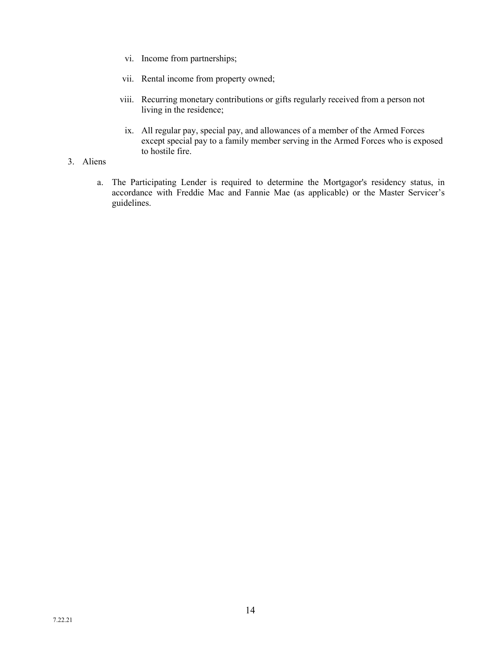- vi. Income from partnerships;
- vii. Rental income from property owned;
- viii. Recurring monetary contributions or gifts regularly received from a person not living in the residence;
- ix. All regular pay, special pay, and allowances of a member of the Armed Forces except special pay to a family member serving in the Armed Forces who is exposed to hostile fire.
- 3. Aliens
	- a. The Participating Lender is required to determine the Mortgagor's residency status, in accordance with Freddie Mac and Fannie Mae (as applicable) or the Master Servicer's guidelines.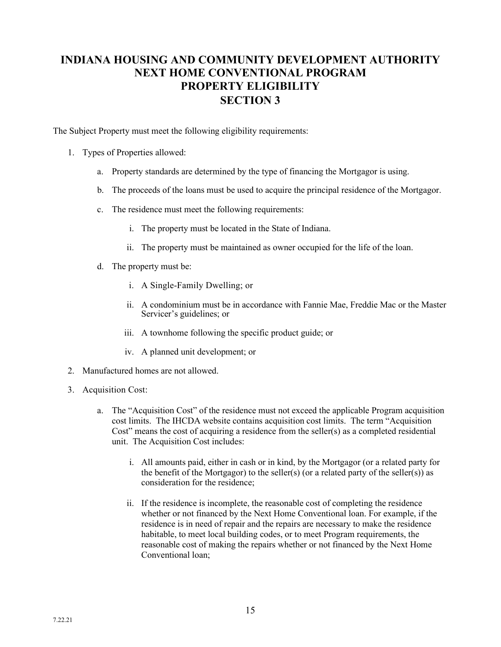# **INDIANA HOUSING AND COMMUNITY DEVELOPMENT AUTHORITY NEXT HOME CONVENTIONAL PROGRAM PROPERTY ELIGIBILITY SECTION 3**

The Subject Property must meet the following eligibility requirements:

- 1. Types of Properties allowed:
	- a. Property standards are determined by the type of financing the Mortgagor is using.
	- b. The proceeds of the loans must be used to acquire the principal residence of the Mortgagor.
	- c. The residence must meet the following requirements:
		- i. The property must be located in the State of Indiana.
		- ii. The property must be maintained as owner occupied for the life of the loan.
	- d. The property must be:
		- i. A Single-Family Dwelling; or
		- ii. A condominium must be in accordance with Fannie Mae, Freddie Mac or the Master Servicer's guidelines; or
		- iii. A townhome following the specific product guide; or
		- iv. A planned unit development; or
- 2. Manufactured homes are not allowed.
- 3. Acquisition Cost:
	- a. The "Acquisition Cost" of the residence must not exceed the applicable Program acquisition cost limits. The IHCDA website contains acquisition cost limits. The term "Acquisition Cost" means the cost of acquiring a residence from the seller(s) as a completed residential unit. The Acquisition Cost includes:
		- i. All amounts paid, either in cash or in kind, by the Mortgagor (or a related party for the benefit of the Mortgagor) to the seller(s) (or a related party of the seller(s)) as consideration for the residence;
		- ii. If the residence is incomplete, the reasonable cost of completing the residence whether or not financed by the Next Home Conventional loan. For example, if the residence is in need of repair and the repairs are necessary to make the residence habitable, to meet local building codes, or to meet Program requirements, the reasonable cost of making the repairs whether or not financed by the Next Home Conventional loan;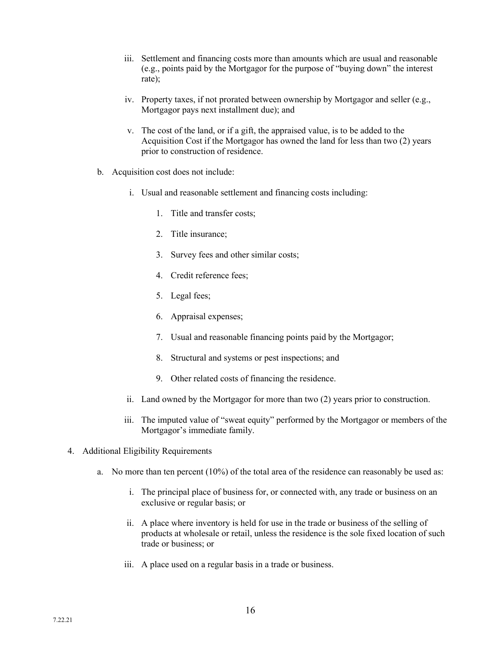- iii. Settlement and financing costs more than amounts which are usual and reasonable (e.g., points paid by the Mortgagor for the purpose of "buying down" the interest rate);
- iv. Property taxes, if not prorated between ownership by Mortgagor and seller (e.g., Mortgagor pays next installment due); and
- v. The cost of the land, or if a gift, the appraised value, is to be added to the Acquisition Cost if the Mortgagor has owned the land for less than two (2) years prior to construction of residence.
- b. Acquisition cost does not include:
	- i. Usual and reasonable settlement and financing costs including:
		- 1. Title and transfer costs;
		- 2. Title insurance;
		- 3. Survey fees and other similar costs;
		- 4. Credit reference fees;
		- 5. Legal fees;
		- 6. Appraisal expenses;
		- 7. Usual and reasonable financing points paid by the Mortgagor;
		- 8. Structural and systems or pest inspections; and
		- 9. Other related costs of financing the residence.
	- ii. Land owned by the Mortgagor for more than two (2) years prior to construction.
	- iii. The imputed value of "sweat equity" performed by the Mortgagor or members of the Mortgagor's immediate family.
- 4. Additional Eligibility Requirements
	- a. No more than ten percent (10%) of the total area of the residence can reasonably be used as:
		- i. The principal place of business for, or connected with, any trade or business on an exclusive or regular basis; or
		- ii. A place where inventory is held for use in the trade or business of the selling of products at wholesale or retail, unless the residence is the sole fixed location of such trade or business; or
		- iii. A place used on a regular basis in a trade or business.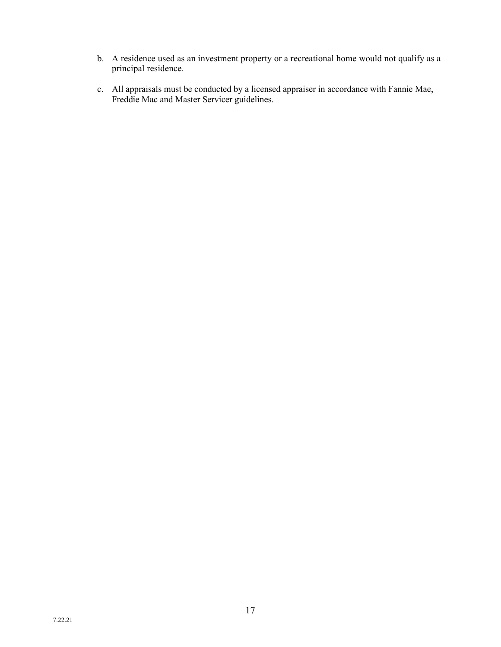- b. A residence used as an investment property or a recreational home would not qualify as a principal residence.
- c. All appraisals must be conducted by a licensed appraiser in accordance with Fannie Mae, Freddie Mac and Master Servicer guidelines.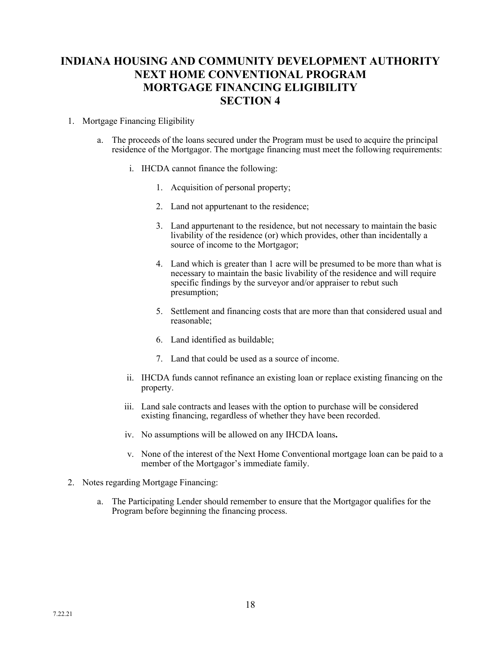# **INDIANA HOUSING AND COMMUNITY DEVELOPMENT AUTHORITY NEXT HOME CONVENTIONAL PROGRAM MORTGAGE FINANCING ELIGIBILITY SECTION 4**

## 1. Mortgage Financing Eligibility

- a. The proceeds of the loans secured under the Program must be used to acquire the principal residence of the Mortgagor. The mortgage financing must meet the following requirements:
	- i. IHCDA cannot finance the following:
		- 1. Acquisition of personal property;
		- 2. Land not appurtenant to the residence;
		- 3. Land appurtenant to the residence, but not necessary to maintain the basic livability of the residence (or) which provides, other than incidentally a source of income to the Mortgagor;
		- 4. Land which is greater than 1 acre will be presumed to be more than what is necessary to maintain the basic livability of the residence and will require specific findings by the surveyor and/or appraiser to rebut such presumption;
		- 5. Settlement and financing costs that are more than that considered usual and reasonable;
		- 6. Land identified as buildable;
		- 7. Land that could be used as a source of income.
	- ii. IHCDA funds cannot refinance an existing loan or replace existing financing on the property.
	- iii. Land sale contracts and leases with the option to purchase will be considered existing financing, regardless of whether they have been recorded.
	- iv. No assumptions will be allowed on any IHCDA loans**.**
	- v. None of the interest of the Next Home Conventional mortgage loan can be paid to a member of the Mortgagor's immediate family.
- 2. Notes regarding Mortgage Financing:
	- a. The Participating Lender should remember to ensure that the Mortgagor qualifies for the Program before beginning the financing process.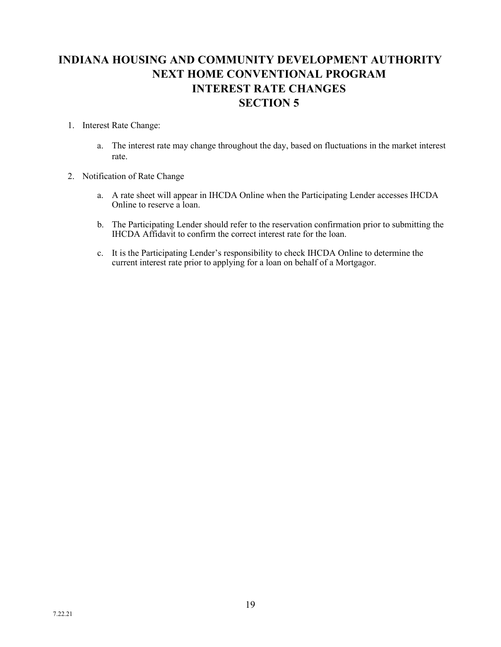# **INDIANA HOUSING AND COMMUNITY DEVELOPMENT AUTHORITY NEXT HOME CONVENTIONAL PROGRAM INTEREST RATE CHANGES SECTION 5**

## 1. Interest Rate Change:

- a. The interest rate may change throughout the day, based on fluctuations in the market interest rate.
- 2. Notification of Rate Change
	- a. A rate sheet will appear in IHCDA Online when the Participating Lender accesses IHCDA Online to reserve a loan.
	- b. The Participating Lender should refer to the reservation confirmation prior to submitting the IHCDA Affidavit to confirm the correct interest rate for the loan.
	- c. It is the Participating Lender's responsibility to check IHCDA Online to determine the current interest rate prior to applying for a loan on behalf of a Mortgagor.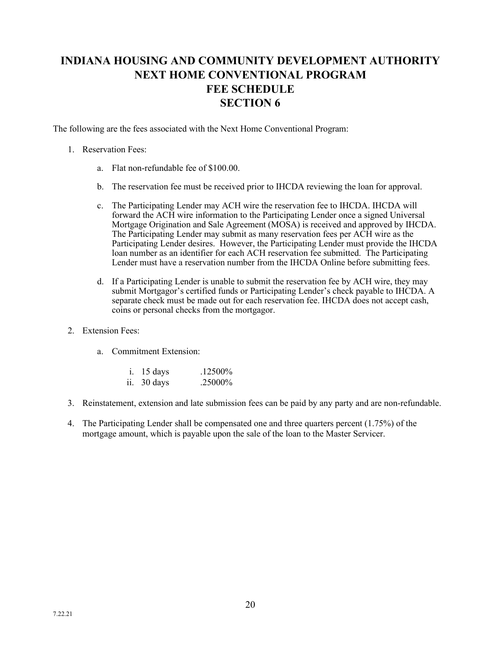# **INDIANA HOUSING AND COMMUNITY DEVELOPMENT AUTHORITY NEXT HOME CONVENTIONAL PROGRAM FEE SCHEDULE SECTION 6**

The following are the fees associated with the Next Home Conventional Program:

## 1. Reservation Fees:

- a. Flat non-refundable fee of \$100.00.
- b. The reservation fee must be received prior to IHCDA reviewing the loan for approval.
- c. The Participating Lender may ACH wire the reservation fee to IHCDA. IHCDA will forward the ACH wire information to the Participating Lender once a signed Universal Mortgage Origination and Sale Agreement (MOSA) is received and approved by IHCDA. The Participating Lender may submit as many reservation fees per ACH wire as the Participating Lender desires. However, the Participating Lender must provide the IHCDA loan number as an identifier for each ACH reservation fee submitted. The Participating Lender must have a reservation number from the IHCDA Online before submitting fees.
- d. If a Participating Lender is unable to submit the reservation fee by ACH wire, they may submit Mortgagor's certified funds or Participating Lender's check payable to IHCDA. A separate check must be made out for each reservation fee. IHCDA does not accept cash, coins or personal checks from the mortgagor.
- 2. Extension Fees:
	- a. Commitment Extension:

| $i.$ 15 days | .12500%  |
|--------------|----------|
| ii. 30 days  | .25000\% |

- 3. Reinstatement, extension and late submission fees can be paid by any party and are non-refundable.
- 4. The Participating Lender shall be compensated one and three quarters percent (1.75%) of the mortgage amount, which is payable upon the sale of the loan to the Master Servicer.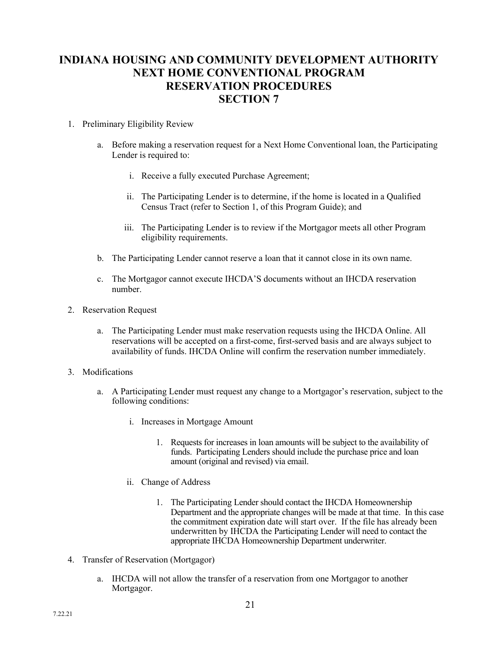# **INDIANA HOUSING AND COMMUNITY DEVELOPMENT AUTHORITY NEXT HOME CONVENTIONAL PROGRAM RESERVATION PROCEDURES SECTION 7**

## 1. Preliminary Eligibility Review

- a. Before making a reservation request for a Next Home Conventional loan, the Participating Lender is required to:
	- i. Receive a fully executed Purchase Agreement;
	- ii. The Participating Lender is to determine, if the home is located in a Qualified Census Tract (refer to Section 1, of this Program Guide); and
	- iii. The Participating Lender is to review if the Mortgagor meets all other Program eligibility requirements.
- b. The Participating Lender cannot reserve a loan that it cannot close in its own name.
- c. The Mortgagor cannot execute IHCDA'S documents without an IHCDA reservation number.
- 2. Reservation Request
	- a. The Participating Lender must make reservation requests using the IHCDA Online. All reservations will be accepted on a first-come, first-served basis and are always subject to availability of funds. IHCDA Online will confirm the reservation number immediately.
- 3. Modifications
	- a. A Participating Lender must request any change to a Mortgagor's reservation, subject to the following conditions:
		- i. Increases in Mortgage Amount
			- 1. Requests for increases in loan amounts will be subject to the availability of funds. Participating Lenders should include the purchase price and loan amount (original and revised) via email.
		- ii. Change of Address
			- 1. The Participating Lender should contact the IHCDA Homeownership Department and the appropriate changes will be made at that time. In this case the commitment expiration date will start over. If the file has already been underwritten by IHCDA the Participating Lender will need to contact the appropriate IHCDA Homeownership Department underwriter.
- 4. Transfer of Reservation (Mortgagor)
	- a. IHCDA will not allow the transfer of a reservation from one Mortgagor to another Mortgagor.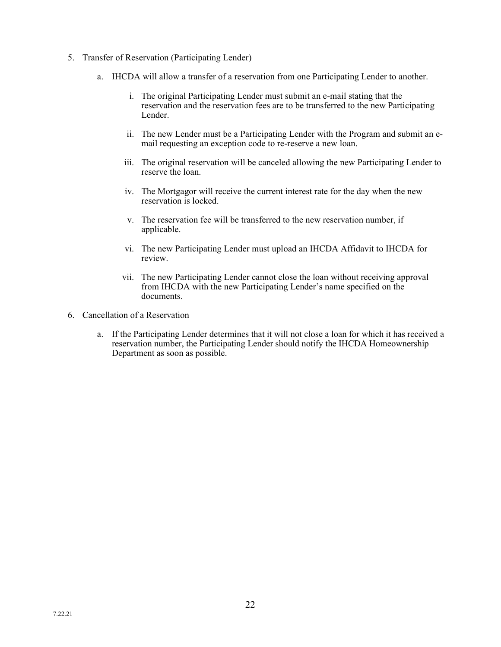- 5. Transfer of Reservation (Participating Lender)
	- a. IHCDA will allow a transfer of a reservation from one Participating Lender to another.
		- i. The original Participating Lender must submit an e-mail stating that the reservation and the reservation fees are to be transferred to the new Participating Lender.
		- ii. The new Lender must be a Participating Lender with the Program and submit an email requesting an exception code to re-reserve a new loan.
		- iii. The original reservation will be canceled allowing the new Participating Lender to reserve the loan.
		- iv. The Mortgagor will receive the current interest rate for the day when the new reservation is locked.
		- v. The reservation fee will be transferred to the new reservation number, if applicable.
		- vi. The new Participating Lender must upload an IHCDA Affidavit to IHCDA for review.
		- vii. The new Participating Lender cannot close the loan without receiving approval from IHCDA with the new Participating Lender's name specified on the documents.
- 6. Cancellation of a Reservation
	- a. If the Participating Lender determines that it will not close a loan for which it has received a reservation number, the Participating Lender should notify the IHCDA Homeownership Department as soon as possible.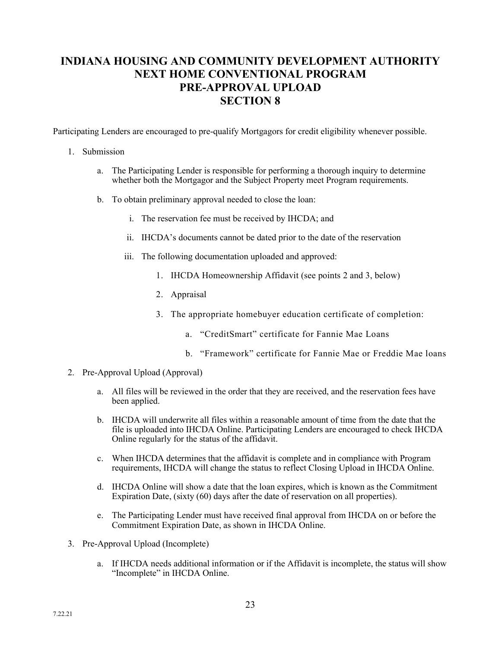# **INDIANA HOUSING AND COMMUNITY DEVELOPMENT AUTHORITY NEXT HOME CONVENTIONAL PROGRAM PRE-APPROVAL UPLOAD SECTION 8**

Participating Lenders are encouraged to pre-qualify Mortgagors for credit eligibility whenever possible.

#### 1. Submission

- a. The Participating Lender is responsible for performing a thorough inquiry to determine whether both the Mortgagor and the Subject Property meet Program requirements.
- b. To obtain preliminary approval needed to close the loan:
	- i. The reservation fee must be received by IHCDA; and
	- ii. IHCDA's documents cannot be dated prior to the date of the reservation
	- iii. The following documentation uploaded and approved:
		- 1. IHCDA Homeownership Affidavit (see points 2 and 3, below)
		- 2. Appraisal
		- 3. The appropriate homebuyer education certificate of completion:
			- a. "CreditSmart" certificate for Fannie Mae Loans
			- b. "Framework" certificate for Fannie Mae or Freddie Mae loans
- 2. Pre-Approval Upload (Approval)
	- a. All files will be reviewed in the order that they are received, and the reservation fees have been applied.
	- b. IHCDA will underwrite all files within a reasonable amount of time from the date that the file is uploaded into IHCDA Online. Participating Lenders are encouraged to check IHCDA Online regularly for the status of the affidavit.
	- c. When IHCDA determines that the affidavit is complete and in compliance with Program requirements, IHCDA will change the status to reflect Closing Upload in IHCDA Online.
	- d. IHCDA Online will show a date that the loan expires, which is known as the Commitment Expiration Date, (sixty (60) days after the date of reservation on all properties).
	- e. The Participating Lender must have received final approval from IHCDA on or before the Commitment Expiration Date, as shown in IHCDA Online.
- 3. Pre-Approval Upload (Incomplete)
	- a. If IHCDA needs additional information or if the Affidavit is incomplete, the status will show "Incomplete" in IHCDA Online.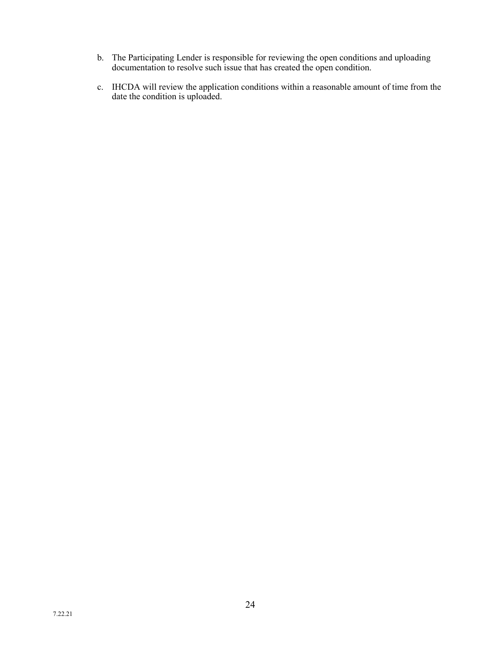- b. The Participating Lender is responsible for reviewing the open conditions and uploading documentation to resolve such issue that has created the open condition.
- c. IHCDA will review the application conditions within a reasonable amount of time from the date the condition is uploaded.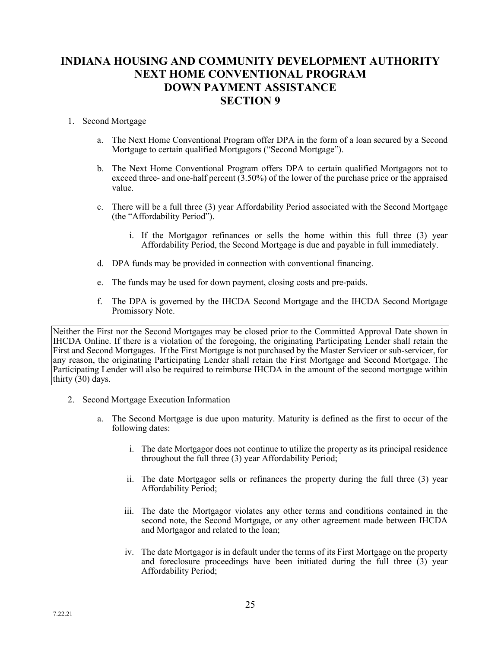# **INDIANA HOUSING AND COMMUNITY DEVELOPMENT AUTHORITY NEXT HOME CONVENTIONAL PROGRAM DOWN PAYMENT ASSISTANCE SECTION 9**

## 1. Second Mortgage

- a. The Next Home Conventional Program offer DPA in the form of a loan secured by a Second Mortgage to certain qualified Mortgagors ("Second Mortgage").
- b. The Next Home Conventional Program offers DPA to certain qualified Mortgagors not to exceed three- and one-half percent (3.50%) of the lower of the purchase price or the appraised value.
- c. There will be a full three (3) year Affordability Period associated with the Second Mortgage (the "Affordability Period").
	- i. If the Mortgagor refinances or sells the home within this full three (3) year Affordability Period, the Second Mortgage is due and payable in full immediately.
- d. DPA funds may be provided in connection with conventional financing.
- e. The funds may be used for down payment, closing costs and pre-paids.
- f. The DPA is governed by the IHCDA Second Mortgage and the IHCDA Second Mortgage Promissory Note.

Neither the First nor the Second Mortgages may be closed prior to the Committed Approval Date shown in IHCDA Online. If there is a violation of the foregoing, the originating Participating Lender shall retain the First and Second Mortgages. If the First Mortgage is not purchased by the Master Servicer or sub-servicer, for any reason, the originating Participating Lender shall retain the First Mortgage and Second Mortgage. The Participating Lender will also be required to reimburse IHCDA in the amount of the second mortgage within thirty (30) days.

- 2. Second Mortgage Execution Information
	- a. The Second Mortgage is due upon maturity. Maturity is defined as the first to occur of the following dates:
		- i. The date Mortgagor does not continue to utilize the property as its principal residence throughout the full three (3) year Affordability Period;
		- ii. The date Mortgagor sells or refinances the property during the full three (3) year Affordability Period;
		- iii. The date the Mortgagor violates any other terms and conditions contained in the second note, the Second Mortgage, or any other agreement made between IHCDA and Mortgagor and related to the loan;
		- iv. The date Mortgagor is in default under the terms of its First Mortgage on the property and foreclosure proceedings have been initiated during the full three  $(3)$  year Affordability Period;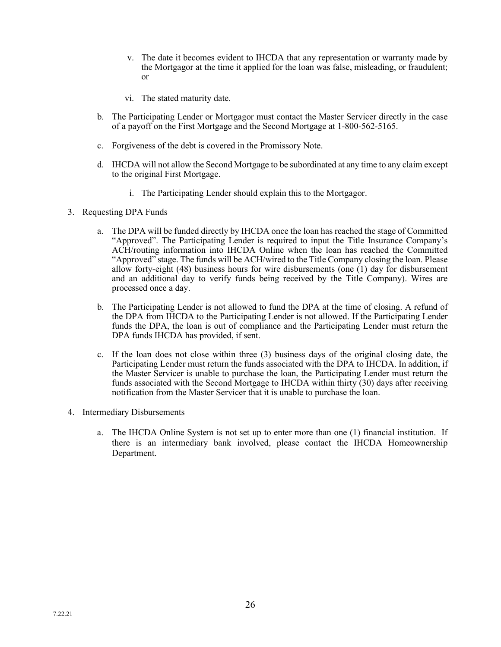- v. The date it becomes evident to IHCDA that any representation or warranty made by the Mortgagor at the time it applied for the loan was false, misleading, or fraudulent; or
- vi. The stated maturity date.
- b. The Participating Lender or Mortgagor must contact the Master Servicer directly in the case of a payoff on the First Mortgage and the Second Mortgage at 1-800-562-5165.
- c. Forgiveness of the debt is covered in the Promissory Note.
- d. IHCDA will not allow the Second Mortgage to be subordinated at any time to any claim except to the original First Mortgage.
	- i. The Participating Lender should explain this to the Mortgagor.
- 3. Requesting DPA Funds
	- a. The DPA will be funded directly by IHCDA once the loan has reached the stage of Committed "Approved". The Participating Lender is required to input the Title Insurance Company's ACH/routing information into IHCDA Online when the loan has reached the Committed "Approved" stage. The funds will be ACH/wired to the Title Company closing the loan. Please allow forty-eight (48) business hours for wire disbursements (one (1) day for disbursement and an additional day to verify funds being received by the Title Company). Wires are processed once a day.
	- b. The Participating Lender is not allowed to fund the DPA at the time of closing. A refund of the DPA from IHCDA to the Participating Lender is not allowed. If the Participating Lender funds the DPA, the loan is out of compliance and the Participating Lender must return the DPA funds IHCDA has provided, if sent.
	- c. If the loan does not close within three (3) business days of the original closing date, the Participating Lender must return the funds associated with the DPA to IHCDA. In addition, if the Master Servicer is unable to purchase the loan, the Participating Lender must return the funds associated with the Second Mortgage to IHCDA within thirty (30) days after receiving notification from the Master Servicer that it is unable to purchase the loan.
- 4. Intermediary Disbursements
	- a. The IHCDA Online System is not set up to enter more than one (1) financial institution. If there is an intermediary bank involved, please contact the IHCDA Homeownership Department.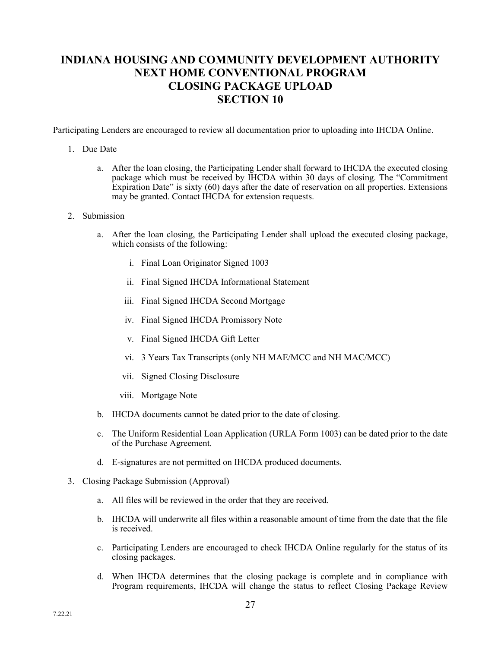# **INDIANA HOUSING AND COMMUNITY DEVELOPMENT AUTHORITY NEXT HOME CONVENTIONAL PROGRAM CLOSING PACKAGE UPLOAD SECTION 10**

Participating Lenders are encouraged to review all documentation prior to uploading into IHCDA Online.

#### 1. Due Date

- a. After the loan closing, the Participating Lender shall forward to IHCDA the executed closing package which must be received by IHCDA within 30 days of closing. The "Commitment Expiration Date" is sixty (60) days after the date of reservation on all properties. Extensions may be granted. Contact IHCDA for extension requests.
- 2. Submission
	- a. After the loan closing, the Participating Lender shall upload the executed closing package, which consists of the following:
		- i. Final Loan Originator Signed 1003
		- ii. Final Signed IHCDA Informational Statement
		- iii. Final Signed IHCDA Second Mortgage
		- iv. Final Signed IHCDA Promissory Note
		- v. Final Signed IHCDA Gift Letter
		- vi. 3 Years Tax Transcripts (only NH MAE/MCC and NH MAC/MCC)
		- vii. Signed Closing Disclosure
		- viii. Mortgage Note
	- b. IHCDA documents cannot be dated prior to the date of closing.
	- c. The Uniform Residential Loan Application (URLA Form 1003) can be dated prior to the date of the Purchase Agreement.
	- d. E-signatures are not permitted on IHCDA produced documents.
- 3. Closing Package Submission (Approval)
	- a. All files will be reviewed in the order that they are received.
	- b. IHCDA will underwrite all files within a reasonable amount of time from the date that the file is received.
	- c. Participating Lenders are encouraged to check IHCDA Online regularly for the status of its closing packages.
	- d. When IHCDA determines that the closing package is complete and in compliance with Program requirements, IHCDA will change the status to reflect Closing Package Review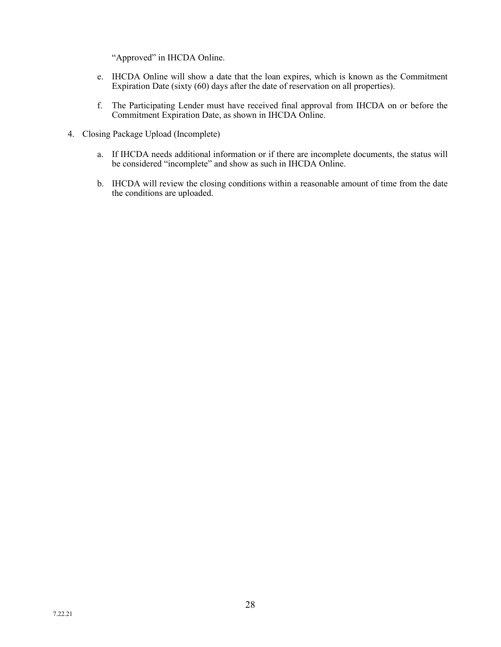"Approved" in IHCDA Online.

- e. IHCDA Online will show a date that the loan expires, which is known as the Commitment Expiration Date (sixty (60) days after the date of reservation on all properties).
- f. The Participating Lender must have received final approval from IHCDA on or before the Commitment Expiration Date, as shown in IHCDA Online.
- 4. Closing Package Upload (Incomplete)
	- a. If IHCDA needs additional information or if there are incomplete documents, the status will be considered "incomplete" and show as such in IHCDA Online.
	- b. IHCDA will review the closing conditions within a reasonable amount of time from the date the conditions are uploaded.